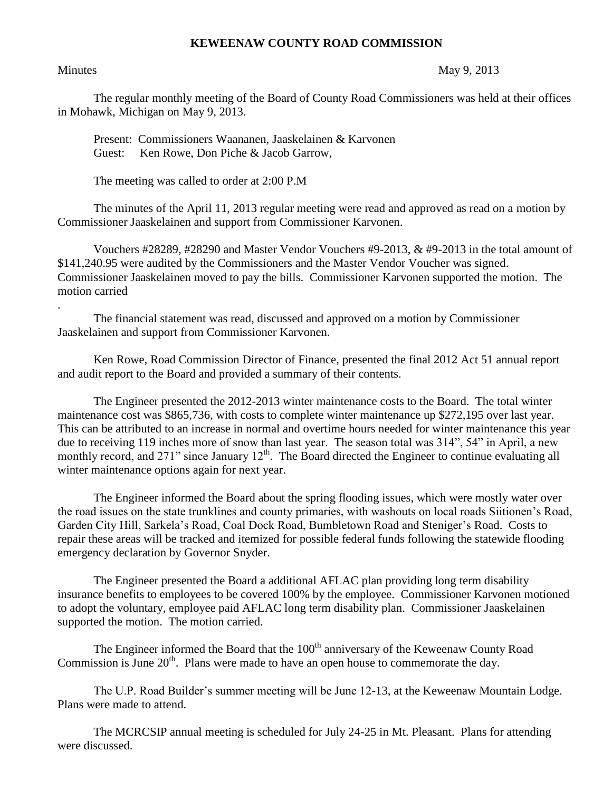## **KEWEENAW COUNTY ROAD COMMISSION**

.

## Minutes May 9, 2013

The regular monthly meeting of the Board of County Road Commissioners was held at their offices in Mohawk, Michigan on May 9, 2013.

Present: Commissioners Waananen, Jaaskelainen & Karvonen Guest: Ken Rowe, Don Piche & Jacob Garrow,

The meeting was called to order at 2:00 P.M

The minutes of the April 11, 2013 regular meeting were read and approved as read on a motion by Commissioner Jaaskelainen and support from Commissioner Karvonen.

Vouchers #28289, #28290 and Master Vendor Vouchers #9-2013, & #9-2013 in the total amount of \$141,240.95 were audited by the Commissioners and the Master Vendor Voucher was signed. Commissioner Jaaskelainen moved to pay the bills. Commissioner Karvonen supported the motion. The motion carried

The financial statement was read, discussed and approved on a motion by Commissioner Jaaskelainen and support from Commissioner Karvonen.

Ken Rowe, Road Commission Director of Finance, presented the final 2012 Act 51 annual report and audit report to the Board and provided a summary of their contents.

The Engineer presented the 2012-2013 winter maintenance costs to the Board. The total winter maintenance cost was \$865,736, with costs to complete winter maintenance up \$272,195 over last year. This can be attributed to an increase in normal and overtime hours needed for winter maintenance this year due to receiving 119 inches more of snow than last year. The season total was 314", 54" in April, a new monthly record, and 271" since January 12<sup>th</sup>. The Board directed the Engineer to continue evaluating all winter maintenance options again for next year.

The Engineer informed the Board about the spring flooding issues, which were mostly water over the road issues on the state trunklines and county primaries, with washouts on local roads Siitionen's Road, Garden City Hill, Sarkela's Road, Coal Dock Road, Bumbletown Road and Steniger's Road. Costs to repair these areas will be tracked and itemized for possible federal funds following the statewide flooding emergency declaration by Governor Snyder.

The Engineer presented the Board a additional AFLAC plan providing long term disability insurance benefits to employees to be covered 100% by the employee. Commissioner Karvonen motioned to adopt the voluntary, employee paid AFLAC long term disability plan. Commissioner Jaaskelainen supported the motion. The motion carried.

The Engineer informed the Board that the  $100<sup>th</sup>$  anniversary of the Keweenaw County Road Commission is June  $20<sup>th</sup>$ . Plans were made to have an open house to commemorate the day.

The U.P. Road Builder's summer meeting will be June 12-13, at the Keweenaw Mountain Lodge. Plans were made to attend.

The MCRCSIP annual meeting is scheduled for July 24-25 in Mt. Pleasant. Plans for attending were discussed.